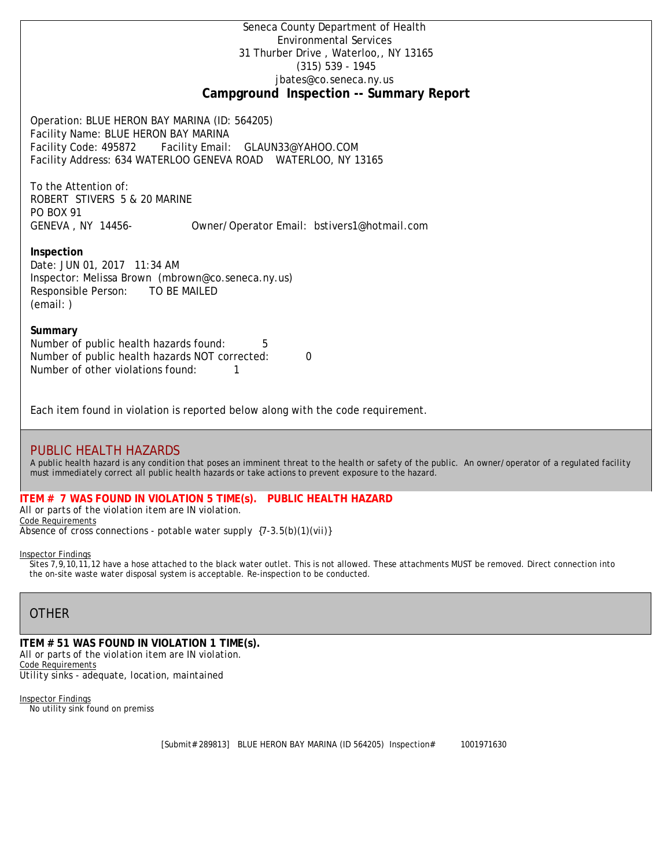Seneca County Department of Health Environmental Services 31 Thurber Drive , Waterloo,, NY 13165 (315) 539 - 1945 [jbates@co.seneca.ny.us](mailto:jbates@co.seneca.ny.us) **Campground Inspection -- Summary Report**

Operation: BLUE HERON BAY MARINA (ID: 564205) Facility Name: BLUE HERON BAY MARINA Facility Code: 495872 Facility Email: [GLAUN33@YAHOO.COM](mailto:GLAUN33@YAHOO.COM) Facility Address: 634 WATERLOO GENEVA ROAD WATERLOO, NY 13165

To the Attention of: ROBERT STIVERS 5 & 20 MARINE PO BOX 91 GENEVA , NY 14456- [Owner/Operator Email: bstivers1@hotmail.com](mailto:bstivers1@hotmail.com)

### **Inspection**

Date: JUN 01, 2017 11:34 AM Inspector: Melissa Brown (mbrown@co.seneca.ny.us) Responsible Person: TO BE MAILED (email: )

## **Summary**

Number of public health hazards found: 5 Number of public health hazards NOT corrected: 0 Number of other violations found:  $1$ 

Each item found in violation is reported below along with the code requirement.

# PUBLIC HEALTH HAZARDS

*A public health hazard is any condition that poses an imminent threat to the health or safety of the public. An owner/operator of a regulated facility must immediately correct all public health hazards or take actions to prevent exposure to the hazard.*

#### **ITEM # 7 WAS FOUND IN VIOLATION 5 TIME(s). PUBLIC HEALTH HAZARD**

*All or parts of the violation item are IN violation.* Code Requirements

*Absence of cross connections - potable water supply {7-3.5(b)(1)(vii)}*

## Inspector Findings

Sites 7,9,10,11,12 have a hose attached to the black water outlet. This is not allowed. These attachments MUST be removed. Direct connection into the on-site waste water disposal system is acceptable. Re-inspection to be conducted.

# **OTHER**

**ITEM # 51 WAS FOUND IN VIOLATION 1 TIME(s).** *All or parts of the violation item are IN violation.* Code Requirements *Utility sinks - adequate, location, maintained*

Inspector Findings No utility sink found on premiss

[Submit# 289813] BLUE HERON BAY MARINA (ID 564205) Inspection# 1001971630